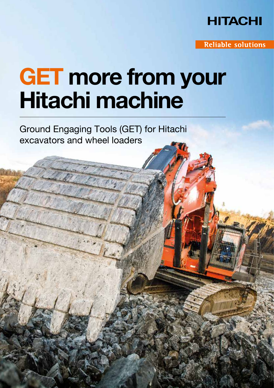

**Reliable solutions** 

## GET more from your Hitachi machine

Ground Engaging Tools (GET) for Hitachi excavators and wheel loaders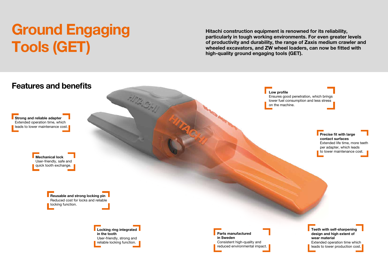Ensures good penetration, which brings lower fuel consumption and less stress

> **Precise fit with large** contact surfaces Extended life time, more teeth per adapter, which leads to lower maintenance cost.



# Ground Engaging Tools (GET)



Hitachi construction equipment is renowned for its reliability, particularly in tough working environments. For even greater levels of productivity and durability, the range of Zaxis medium crawler and wheeled excavators, and ZW wheel loaders, can now be fitted with high-quality ground engaging tools (GET).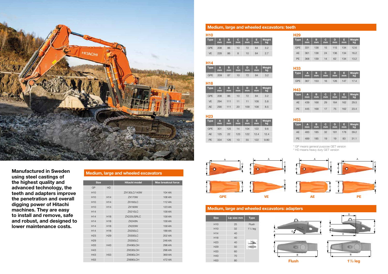| <b>H10</b> |         |         |         |         |         |              |
|------------|---------|---------|---------|---------|---------|--------------|
| Type       | A<br>mm | в<br>mm | C<br>mm | D<br>mm | Е<br>mm | Weight<br>kg |
| <b>GPE</b> | 208     | 86      | 10      | 72      | 84      | 3.2          |
| <b>VE</b>  | 228     | 86      | 8       | 10      | 84      | 2.7          |

| H <sub>14</sub> |                   |         |                |         |          |              |
|-----------------|-------------------|---------|----------------|---------|----------|--------------|
| <b>Type</b>     | $A$ <sub>mm</sub> | B<br>mm | <b>C</b><br>mm | D<br>mm | E.<br>mm | Weight<br>kg |
| <b>GPE</b>      | 209               | 87      | 10             | 72      | 84       | 3.2          |

#### H18

| Type       | A<br>mm | в<br>mm | C<br>mm | D<br>mm | E<br>mm | Weight<br>kg |
|------------|---------|---------|---------|---------|---------|--------------|
| <b>GPE</b> | 208     | 86      | 10      | 72      | 84      | 3.2          |
| <b>VE</b>  | 294     | 111     | 11      | 11      | 108     | 5.8          |
| AE         | 290     | 111     | 20      | 109     | 108     | 8.5          |

| H23        |         |         |         |         |         |              |
|------------|---------|---------|---------|---------|---------|--------------|
| Type       | A<br>mm | в<br>mm | C<br>mm | D<br>mm | G<br>mm | Weight<br>kg |
| <b>GPE</b> | 301     | 125     | 14      | 104     | 122     | 9.6          |
| AE         | 125     | 22      | 123     | 122     | 12.4    | 12.4         |
| <b>PE</b>  | 334     | 126     | 13      | 55      | 122     | 9.80         |

#### Medium, large and wheeled excavators: teeth

#### Medium, large and wheeled excavators: adapters

#### H43



| Type      | A<br>mm | в.<br>mm | C.<br>mm | D<br>mm | mm  | Weight<br>kg |
|-----------|---------|----------|----------|---------|-----|--------------|
| AE        | 439     | 168      | 29       | 164     | 162 | 29.5         |
| <b>PF</b> | 445     | 168      | 17       | 75      | 162 | 23.4         |

#### H53

| <b>Type</b> | $\mathbf{A}$<br>mm | в<br>mm | C<br>mm | D<br>mm | E<br>mm | Weight<br>Lkg |
|-------------|--------------------|---------|---------|---------|---------|---------------|
| AE          | 483                | 185     | 32      | 181     | 178     | 39.2          |
| <b>PE</b>   | 489                | 185     | 19      | 19      | 83      | 31.1          |

#### H29

| <b>Type</b> | A<br>mm | в<br>mm | C.<br>mm | D<br>mm | Æ<br>mm | Weight<br>kg |
|-------------|---------|---------|----------|---------|---------|--------------|
| <b>GPE</b>  | 331     | 138     | 15       | 115     | 134     | 12.6         |
| <b>AE</b>   | 361     | 138     | 24       | 136     | 134     | 16.2         |
| <b>PE</b>   | 368     | 139     | 14       | 62      | 134     | 13.2         |

#### H33

|     | $\begin{array}{ c c c c c }\n \hline\n \text{Type} & A & B & C \\ \hline\n \text{mm} & \text{mm} & \text{mm} & \text{mm}\n \end{array}$ |     |    |     | $-1$ mm | DEWeight<br>kg |
|-----|-----------------------------------------------------------------------------------------------------------------------------------------|-----|----|-----|---------|----------------|
| GPE | 367                                                                                                                                     | 153 | 16 | 126 | 147     | 17.4           |

\* GP means general purpose GET version

\* HD means heavy duty GET version

| <b>Size</b>     | Lip size mm | <b>Type</b>   |
|-----------------|-------------|---------------|
| H <sub>10</sub> | 25          | Flush         |
| H <sub>10</sub> | 32          | $1^{1/2}$ leg |
| H <sub>14</sub> | 40          |               |
| H <sub>18</sub> | 40          |               |
| H <sub>23</sub> | 40          |               |
| H <sub>29</sub> | 50          |               |
| H <sub>33</sub> | 60          |               |
| H43             | 70          |               |
| H <sub>53</sub> | 80          |               |

#### Medium, large and wheeled excavators

| <b>Size</b>     |                 | <b>Hitachi model</b> | <b>Max breakout force</b> |
|-----------------|-----------------|----------------------|---------------------------|
| <b>GP</b>       | <b>HD</b>       |                      |                           |
| H <sub>10</sub> |                 | ZX130LC/140W         | 104 kN                    |
| H <sub>10</sub> | H <sub>14</sub> | <b>ZX170W</b>        | 108 kN                    |
| H <sub>10</sub> | H <sub>14</sub> | ZX160LC              | 112 kN                    |
| H <sub>10</sub> | H <sub>14</sub> | <b>ZX190W</b>        | 123 kN                    |
| H <sub>14</sub> |                 | <b>ZX210LC</b>       | 158 kN                    |
| H <sub>14</sub> | H <sub>18</sub> | ZX225USRLC           | 158 kN                    |
| H <sub>14</sub> | H <sub>18</sub> | <b>ZX240N</b>        | 158 kN                    |
| H <sub>14</sub> | H <sub>18</sub> | <b>ZX220W</b>        | 158 kN                    |
| H <sub>14</sub> | H <sub>18</sub> | ZX250LC              | 188 kN                    |
| H <sub>23</sub> | H <sub>29</sub> | ZX300LC              | 202 kN                    |
| H <sub>29</sub> |                 | ZX350LC              | 246 kN                    |
| H <sub>33</sub> | H43             | ZX490LCH             | 296 kN                    |
| H43             |                 | ZX530LCH             | 296 kN                    |
| H43             | H <sub>53</sub> | ZX690LCH             | 369 kN                    |
| H <sub>53</sub> |                 | ZX890LCH             | 472 kN                    |





Manufactured in Sweden using steel castings of the highest quality and advanced technology, the teeth and adapters improve the penetration and overall digging power of Hitachi machines. They are easy to install and remove, safe and robust, and designed to lower maintenance costs.

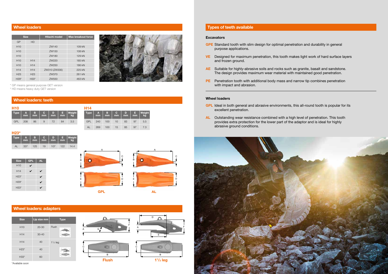#### Wheel loaders **Types of teeth available**

| <b>Size</b>     |                 | <b>Hitachi model</b> | <b>Max breakout force</b> |
|-----------------|-----------------|----------------------|---------------------------|
| GP              | <b>HD</b>       |                      |                           |
| H10             |                 | ZW140                | 109 kN                    |
| H10             |                 | ZW150                | 108 kN                    |
| H10             |                 | ZW180                | 129 kN                    |
| H10             | H <sub>14</sub> | ZW220                | 185 kN                    |
| H10             | H <sub>14</sub> | ZW250                | 186 kN                    |
| H <sub>14</sub> | H <sub>14</sub> | ZW310 (ZW330)        | 225 kN                    |
| H <sub>23</sub> | H <sub>23</sub> | ZW370                | 261 kN                    |
| $H29*$          | $H33*$          | ZW <sub>550</sub>    | 463 kN                    |



| <b>H10</b>  |                   |         |          |         |         |              |
|-------------|-------------------|---------|----------|---------|---------|--------------|
| <b>Type</b> | $A$ <sub>mm</sub> | B<br>mm | C.<br>mm | D<br>mm | E<br>mm | Weight<br>kg |
| GPI.        | 208               | 86      | 9        | 72      | 84      | 3.5          |

| $H23*$      |                   |          |          |         |                                |              |
|-------------|-------------------|----------|----------|---------|--------------------------------|--------------|
| <b>Type</b> | $A$ <sub>mm</sub> | B.<br>mm | C.<br>mm | D<br>mm | E,<br>$\overline{\mathsf{mm}}$ | Weight<br>kg |
| AL          | 337               | 125      | 19       | 107     | 122                            | 14.4         |

 $Size \mid GPL \mid AL$ H<sub>10</sub> H14 H<sub>23</sub>\* H<sub>29</sub>\* H<sub>33</sub>\*

H14 Type mm B mm C mm D mm E mm Weight kg GPL 240 100 10 83 97 5.5 AL 269 100 15 85 97 7.3

- GPL Ideal in both general and abrasive environments, this all-round tooth is popular for its excellent penetration.
- AL Outstanding wear resistance combined with a high level of penetration. This tooth provides extra protection for the lower part of the adaptor and is ideal for highly abrasive ground conditions.



- GPE Standard tooth with slim design for optimal penetration and durability in general purpose applications.
- VE Designed for maximum penetration, this tooth makes light work of hard surface layers and frozen ground.
- AE Suitable for highly-abrasive soils and rocks such as granite, basalt and sandstone. The design provides maximum wear material with maintained good penetration.
- PE Penetration tooth with additional body mass and narrow tip combines penetration with impact and abrasion.

#### Wheel loaders

#### Wheel loaders: teeth

| <b>Size</b>     | Lip size mm | <b>Type</b>   |
|-----------------|-------------|---------------|
| H <sub>10</sub> | $20 - 30$   | Flush         |
| H <sub>14</sub> | $30 - 40$   |               |
| H <sub>14</sub> | 40          | $1^{1/2}$ leg |
| $H23*$          | 40          |               |
| H33*            | 60          |               |

Wheel loaders: adapters

\*Available soon

#### **Excavators**

\* GP means general purpose GET version

\* HD means heavy duty GET version

D



F

F

A

A

A

C

C

B

E

D

C

B 11 /2 leg

Q

**Flush** 

GPL AL